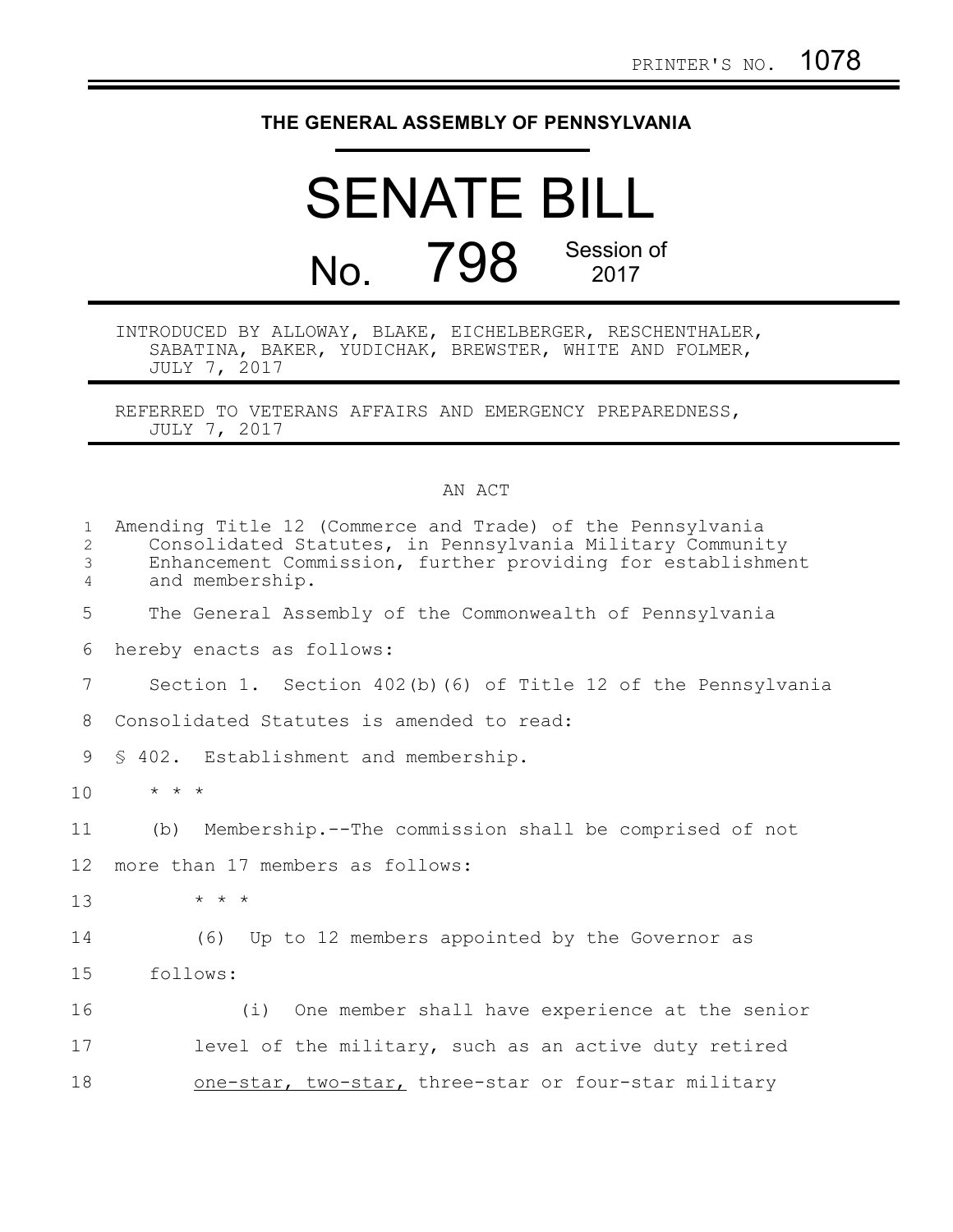## **THE GENERAL ASSEMBLY OF PENNSYLVANIA**

## SENATE BILL No. 798 Session of 2017

INTRODUCED BY ALLOWAY, BLAKE, EICHELBERGER, RESCHENTHALER, SABATINA, BAKER, YUDICHAK, BREWSTER, WHITE AND FOLMER, JULY 7, 2017

REFERRED TO VETERANS AFFAIRS AND EMERGENCY PREPAREDNESS, JULY 7, 2017

## AN ACT

| $\mathbf{1}$<br>2<br>$\mathfrak{Z}$<br>4 | Amending Title 12 (Commerce and Trade) of the Pennsylvania<br>Consolidated Statutes, in Pennsylvania Military Community<br>Enhancement Commission, further providing for establishment<br>and membership. |
|------------------------------------------|-----------------------------------------------------------------------------------------------------------------------------------------------------------------------------------------------------------|
| 5                                        | The General Assembly of the Commonwealth of Pennsylvania                                                                                                                                                  |
| 6                                        | hereby enacts as follows:                                                                                                                                                                                 |
| 7                                        | Section 1. Section 402(b) (6) of Title 12 of the Pennsylvania                                                                                                                                             |
| 8                                        | Consolidated Statutes is amended to read:                                                                                                                                                                 |
| 9                                        | § 402. Establishment and membership.                                                                                                                                                                      |
| 10                                       | $\star$ $\star$ $\star$                                                                                                                                                                                   |
| 11                                       | Membership.--The commission shall be comprised of not<br>(b)                                                                                                                                              |
| 12                                       | more than 17 members as follows:                                                                                                                                                                          |
| 13                                       | $\star$ $\star$ $\star$                                                                                                                                                                                   |
| 14                                       | (6) Up to 12 members appointed by the Governor as                                                                                                                                                         |
| 15                                       | follows:                                                                                                                                                                                                  |
| 16                                       | (i) One member shall have experience at the senior                                                                                                                                                        |
| 17                                       | level of the military, such as an active duty retired                                                                                                                                                     |
| 18                                       | one-star, two-star, three-star or four-star military                                                                                                                                                      |
|                                          |                                                                                                                                                                                                           |